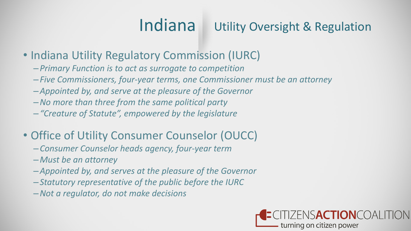## Indiana Utility Oversight & Regulation

## • Indiana Utility Regulatory Commission (IURC)

- –*Primary Function is to act as surrogate to competition*
- –*Five Commissioners, four-year terms, one Commissioner must be an attorney*
- –*Appointed by, and serve at the pleasure of the Governor*
- –*No more than three from the same political party*
- –*"Creature of Statute", empowered by the legislature*

## • Office of Utility Consumer Counselor (OUCC)

- –*Consumer Counselor heads agency, four-year term*
- –*Must be an attorney*
- –*Appointed by, and serves at the pleasure of the Governor*
- –*Statutory representative of the public before the IURC*
- –*Not a regulator, do not make decisions*

### ENSACTIONCOALITION turning on citizen power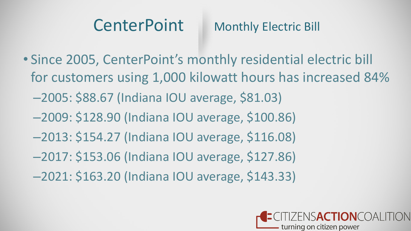## CenterPoint Monthly Electric Bill

• Since 2005, CenterPoint's monthly residential electric bill for customers using 1,000 kilowatt hours has increased 84% –2005: \$88.67 (Indiana IOU average, \$81.03) –2009: \$128.90 (Indiana IOU average, \$100.86) –2013: \$154.27 (Indiana IOU average, \$116.08) –2017: \$153.06 (Indiana IOU average, \$127.86) –2021: \$163.20 (Indiana IOU average, \$143.33)

### **ISACTIONCOALIT** - turning on citizen power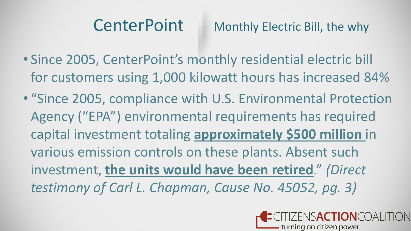- Since 2005, CenterPoint's monthly residential electric bill for customers using 1,000 kilowatt hours has increased 84%
- "Since 2005, compliance with U.S. Environmental Protection Agency ("EPA") environmental requirements has required capital investment totaling **approximately \$500 million** in various emission controls on these plants. Absent such investment, **the units would have been retired**." *(Direct testimony of Carl L. Chapman, Cause No. 45052, pg. 3)*



## CenterPoint Monthly Electric Bill, the why

**ISACTIONCOAL** - turning on citizen power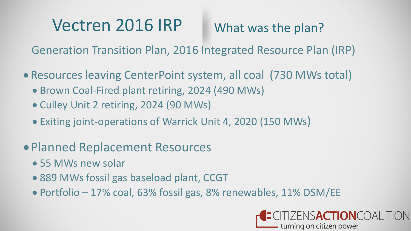## Vectren 2016 IRP

- Resources leaving CenterPoint system, all coal (730 MWs total)
	- Brown Coal-Fired plant retiring, 2024 (490 MWs)
	- Culley Unit 2 retiring, 2024 (90 MWs)
	- Exiting joint-operations of Warrick Unit 4, 2020 (150 MWs)
- •Planned Replacement Resources
	- 55 MWs new solar
	- 889 MWs fossil gas baseload plant, CCGT
	- Portfolio 17% coal, 63% fossil gas, 8% renewables, 11% DSM/EE

## What was the plan?

- 
- 

## VSACTIONCOALITION turning on citizen power

Generation Transition Plan, 2016 Integrated Resource Plan (IRP)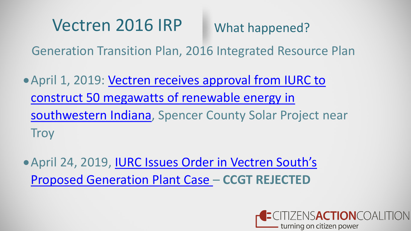## Vectren 2016 IRP

•April 1, 2019: Vectren receives approval from IURC to construct 50 megawatts of renewable energy in [southwestern Indiana, Spencer County Solar Project n](https://investors.centerpointenergy.com/news-releases/news-release-details/vectren-receives-approval-iurc-construct-50-megawatts-renewable)ear **Troy** 

Generation Transition Plan, 2016 Integrated Resource Plan

•[April 24, 2019, IURC Issues Order in Vectren South's](https://www.in.gov/iurc/files/IURC-Issues-Order-in-Vectren-Souths-Proposed-Generation-Plant-Case-45052.pdf)  Proposed Generation Plant Case – **CCGT REJECTED**

ZENS**ACTION**COALITION - turning on citizen power

What happened?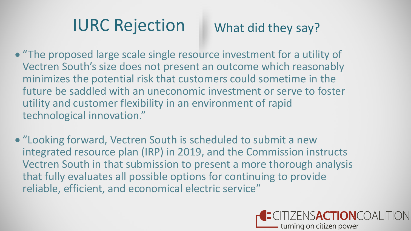## IURC Rejection

- "The proposed large scale single resource investment for a utility of Vectren South's size does not present an outcome which reasonably minimizes the potential risk that customers could sometime in the future be saddled with an uneconomic investment or serve to foster utility and customer flexibility in an environment of rapid technological innovation."
- "Looking forward, Vectren South is scheduled to submit a new integrated resource plan (IRP) in 2019, and the Commission instructs Vectren South in that submission to present a more thorough analysis that fully evaluates all possible options for continuing to provide reliable, efficient, and economical electric service"

## What did they say?

### NSACTIONCOALITION turning on citizen power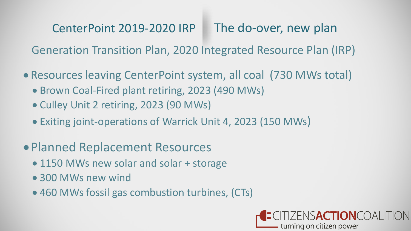## CenterPoint 2019-2020 IRP

Generation Transition Plan, 2020 Integrated Resource Plan (IRP)

- Resources leaving CenterPoint system, all coal (730 MWs total)
	- Brown Coal-Fired plant retiring, 2023 (490 MWs)
	- Culley Unit 2 retiring, 2023 (90 MWs)
	- Exiting joint-operations of Warrick Unit 4, 2023 (150 MWs)
- •Planned Replacement Resources
	- 1150 MWs new solar and solar + storage
	- 300 MWs new wind
	- 460 MWs fossil gas combustion turbines, (CTs)

The do-over, new plan

### NSACTIONCOALITION - turning on citizen power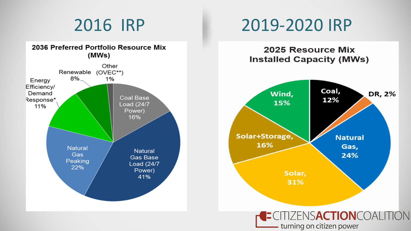



## 2016 IRP 2019-2020 IRP

### CITIZENSACTIONCOALITION - turning on citizen power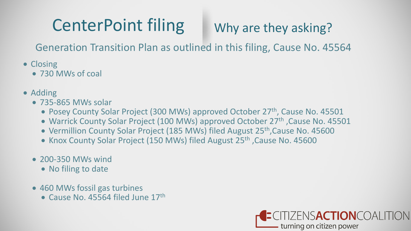- Closing
	- 730 MWs of coal
- Adding
	- 735-865 MWs solar
		- Posey County Solar Project (300 MWs) approved October 27<sup>th</sup>, Cause No. 45501
		- Warrick County Solar Project (100 MWs) approved October 27<sup>th</sup>, Cause No. 45501
		- Vermillion County Solar Project (185 MWs) filed August 25<sup>th</sup>, Cause No. 45600
		- Knox County Solar Project (150 MWs) filed August 25<sup>th</sup>, Cause No. 45600
	- 200-350 MWs wind
		- No filing to date
	- 460 MWs fossil gas turbines
		- Cause No. 45564 filed June 17th

## Why are they asking?

### ZENSACTIONCOALITION turning on citizen power

Generation Transition Plan as outlined in this filing, Cause No. 45564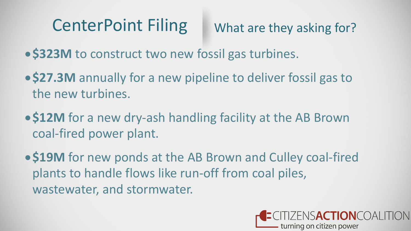What are they asking for?

- •**\$323M** to construct two new fossil gas turbines.
- •**\$27.3M** annually for a new pipeline to deliver fossil gas to the new turbines.
- •**\$12M** for a new dry-ash handling facility at the AB Brown coal-fired power plant.
- •**\$19M** for new ponds at the AB Brown and Culley coal-fired plants to handle flows like run-off from coal piles, wastewater, and stormwater.

ENSACTIONCOALITION turning on citizen power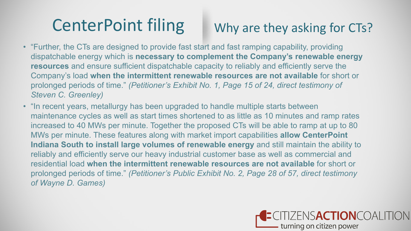- "Further, the CTs are designed to provide fast start and fast ramping capability, providing dispatchable energy which is **necessary to complement the Company's renewable energy resources** and ensure sufficient dispatchable capacity to reliably and efficiently serve the Company's load **when the intermittent renewable resources are not available** for short or prolonged periods of time." *(Petitioner's Exhibit No. 1, Page 15 of 24, direct testimony of Steven C. Greenley)*
- "In recent years, metallurgy has been upgraded to handle multiple starts between maintenance cycles as well as start times shortened to as little as 10 minutes and ramp rates increased to 40 MWs per minute. Together the proposed CTs will be able to ramp at up to 80 MWs per minute. These features along with market import capabilities **allow CenterPoint Indiana South to install large volumes of renewable energy** and still maintain the ability to reliably and efficiently serve our heavy industrial customer base as well as commercial and residential load **when the intermittent renewable resources are not available** for short or prolonged periods of time." *(Petitioner's Public Exhibit No. 2, Page 28 of 57, direct testimony of Wayne D. Games)*

## Why are they asking for CTs?

### CITIZENSACTIONCOALITION turning on citizen power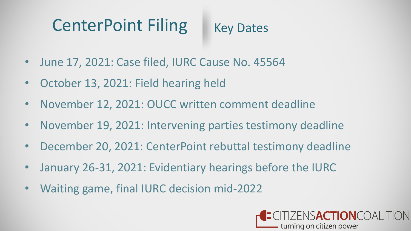- June 17, 2021: Case filed, IURC Cause No. 45564
- October 13, 2021: Field hearing held
- November 12, 2021: OUCC written comment deadline
- November 19, 2021: Intervening parties testimony deadline
- December 20, 2021: CenterPoint rebuttal testimony deadline
- January 26-31, 2021: Evidentiary hearings before the IURC
- Waiting game, final IURC decision mid-2022

## **INSACTIONCOALITION** turning on citizen power

Key Dates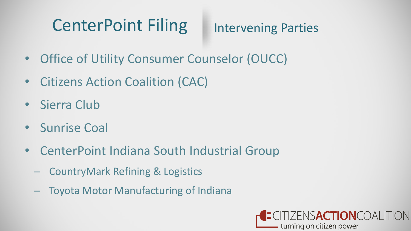- Office of Utility Consumer Counselor (OUCC)
- Citizens Action Coalition (CAC)
- Sierra Club
- Sunrise Coal
- CenterPoint Indiana South Industrial Group
	- CountryMark Refining & Logistics
	- Toyota Motor Manufacturing of Indiana

## Intervening Parties

## ZENSACTIONCOALITION - turning on citizen power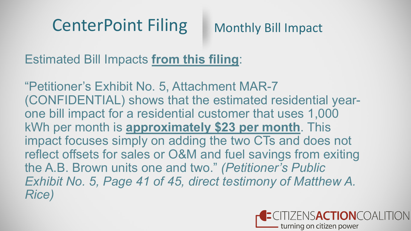Estimated Bill Impacts **from this filing**:

"Petitioner's Exhibit No. 5, Attachment MAR-7 (CONFIDENTIAL) shows that the estimated residential yearone bill impact for a residential customer that uses 1,000 kWh per month is **approximately \$23 per month**. This impact focuses simply on adding the two CTs and does not reflect offsets for sales or O&M and fuel savings from exiting the A.B. Brown units one and two." *(Petitioner's Public Exhibit No. 5, Page 41 of 45, direct testimony of Matthew A. Rice)*

## Monthly Bill Impact

ZENSACTIONCOALITION turning on citizen power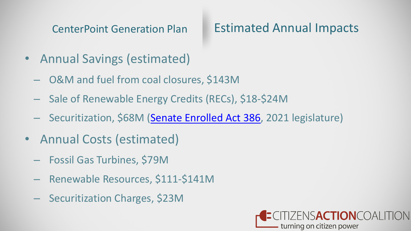CenterPoint Generation Plan

- Annual Savings (estimated)
	- O&M and fuel from coal closures, \$143M
	- Sale of Renewable Energy Credits (RECs), \$18-\$24M
	- Securitization, \$68M [\(Senate Enrolled Act 386,](http://iga.in.gov/legislative/2021/bills/senate/386) 2021 legislature)
- Annual Costs (estimated)
	- Fossil Gas Turbines, \$79M
	- Renewable Resources, \$111-\$141M
	- Securitization Charges, \$23M

## Estimated Annual Impacts

### NSACTIONCOALITION - turning on citizen power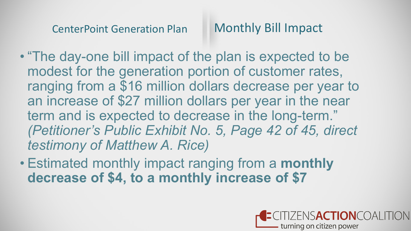• "The day-one bill impact of the plan is expected to be modest for the generation portion of customer rates, ranging from a \$16 million dollars decrease per year to an increase of \$27 million dollars per year in the near term and is expected to decrease in the long-term." *(Petitioner's Public Exhibit No. 5, Page 42 of 45, direct testimony of Matthew A. Rice)*

• Estimated monthly impact ranging from a **monthly decrease of \$4, to a monthly increase of \$7**

## Monthly Bill Impact

### **FNSACTIONCOALL** turning on citizen power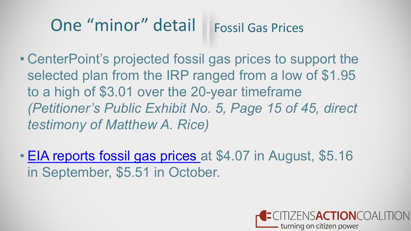### One "minor" detail Fossil Gas Prices

- CenterPoint's projected fossil gas prices to support the selected plan from the IRP ranged from a low of \$1.95 to a high of \$3.01 over the 20-year timeframe *(Petitioner's Public Exhibit No. 5, Page 15 of 45, direct testimony of Matthew A. Rice)*
- [EIA reports fossil gas prices a](https://www.eia.gov/dnav/ng/hist/rngwhhdm.htm)t \$4.07 in August, \$5.16 in September, \$5.51 in October.

### ENSACTIONCOALI turning on citizen power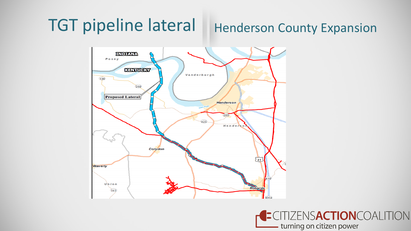### TGT pipeline lateral | Henderson County Expansion INDIANA  $P$  o s e  $V$ **KENTUGKY** Vanderburgh  $(136)$ Овя **Proposed Lateral Henderson** Ohio R  $(285)$  $425$ Hender Corydon  $41$ **Waverly**  $Union$ Robards  $(14)$



### TIZENSACTIONCOALITION - turning on citizen power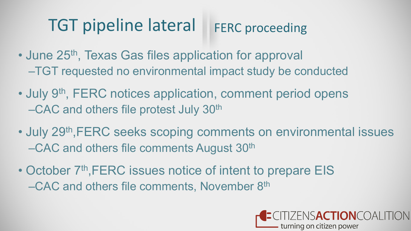## TGT pipeline lateral

- June 25<sup>th</sup>, Texas Gas files application for approval –TGT requested no environmental impact study be conducted
- July 9<sup>th</sup>, FERC notices application, comment period opens –CAC and others file protest July 30th
- July 29<sup>th</sup>, FERC seeks scoping comments on environmental issues –CAC and others file comments August 30th
- October 7<sup>th</sup>, FERC issues notice of intent to prepare EIS –CAC and others file comments, November 8th

## FERC proceeding

ENSACTIONCOALITION turning on citizen power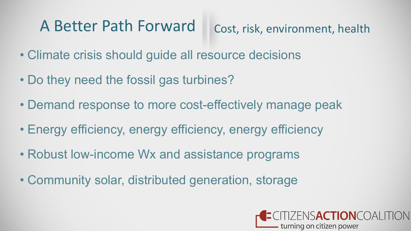## A Better Path Forward

- Climate crisis should guide all resource decisions
- Do they need the fossil gas turbines?
- Demand response to more cost-effectively manage peak
- Energy efficiency, energy efficiency, energy efficiency
- Robust low-income Wx and assistance programs
- Community solar, distributed generation, storage

## Cost, risk, environment, health

### ENSACTIONCOALITION turning on citizen power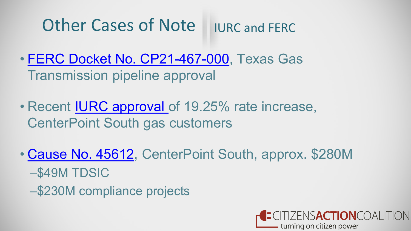### Other Cases of Note IURC and FERC

- [FERC Docket No. CP21-467-000,](https://elibrary.ferc.gov/eLibrary/search) Texas Gas Transmission pipeline approval
- Recent [IURC approval o](https://www.in.gov/iurc/files/10062021_IURC-Issues-Order-in-CenterPoint-Energy-Indiana-South-Rate-Case-45447.pdf)f 19.25% rate increase, CenterPoint South gas customers
- [Cause No. 45612](https://iurc.portal.in.gov/_entity/sharepointdocumentlocation/78a124c2-4112-ec11-b6e6-001dd80291a1/bb9c6bba-fd52-45ad-8e64-a444aef13c39?file=CenterPoint%20Energy%20Indiana%20South_Verified%20Petition_091021.pdf), CenterPoint South, approx. \$280M –\$49M TDSIC
	- –\$230M compliance projects

### ZENSACTIONCOALITION turning on citizen power